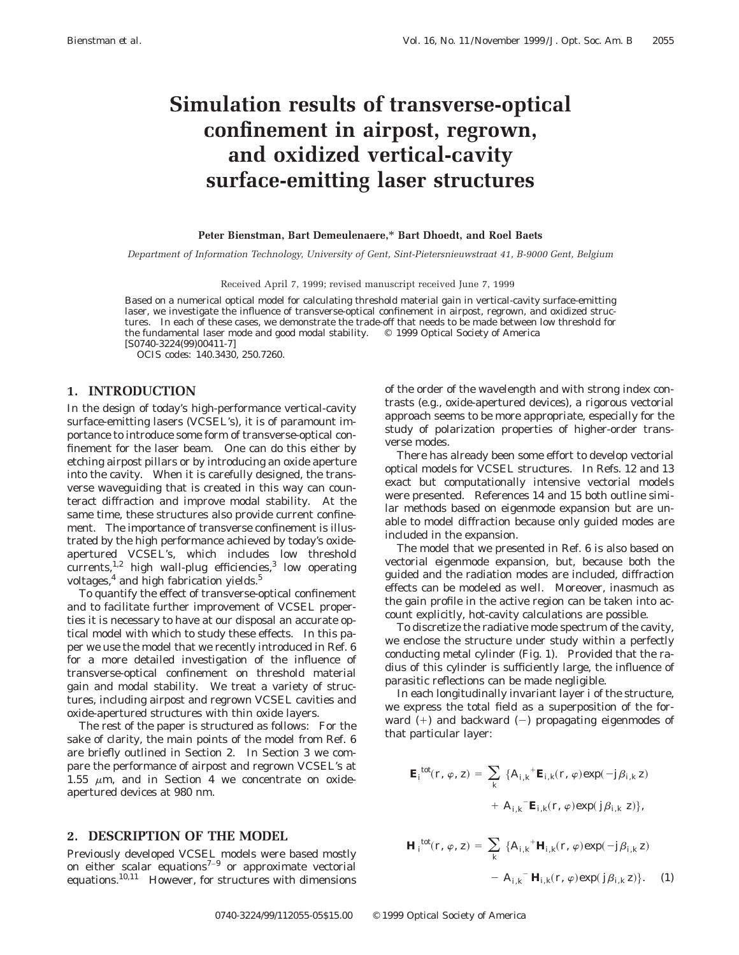# **Simulation results of transverse-optical confinement in airpost, regrown, and oxidized vertical-cavity surface-emitting laser structures**

#### **Peter Bienstman, Bart Demeulenaere,**\* **Bart Dhoedt, and Roel Baets**

*Department of Information Technology, University of Gent, Sint-Pietersnieuwstraat 41, B-9000 Gent, Belgium*

Received April 7, 1999; revised manuscript received June 7, 1999

Based on a numerical optical model for calculating threshold material gain in vertical-cavity surface-emitting laser, we investigate the influence of transverse-optical confinement in airpost, regrown, and oxidized structures. In each of these cases, we demonstrate the trade-off that needs to be made between low threshold for the fundamental laser mode and good modal stability. © 1999 Optical Society of America [S0740-3224(99)00411-7]

*OCIS codes:* 140.3430, 250.7260.

### **1. INTRODUCTION**

In the design of today's high-performance vertical-cavity surface-emitting lasers (VCSEL's), it is of paramount importance to introduce some form of transverse-optical confinement for the laser beam. One can do this either by etching airpost pillars or by introducing an oxide aperture into the cavity. When it is carefully designed, the transverse waveguiding that is created in this way can counteract diffraction and improve modal stability. At the same time, these structures also provide current confinement. The importance of transverse confinement is illustrated by the high performance achieved by today's oxideapertured VCSEL's, which includes low threshold currents,<sup>1,2</sup> high wall-plug efficiencies,<sup>3</sup> low operating voltages, $4$  and high fabrication yields. $5$ 

To quantify the effect of transverse-optical confinement and to facilitate further improvement of VCSEL properties it is necessary to have at our disposal an accurate optical model with which to study these effects. In this paper we use the model that we recently introduced in Ref. 6 for a more detailed investigation of the influence of transverse-optical confinement on threshold material gain and modal stability. We treat a variety of structures, including airpost and regrown VCSEL cavities and oxide-apertured structures with thin oxide layers.

The rest of the paper is structured as follows: For the sake of clarity, the main points of the model from Ref. 6 are briefly outlined in Section 2. In Section 3 we compare the performance of airpost and regrown VCSEL's at 1.55  $\mu$ m, and in Section 4 we concentrate on oxideapertured devices at 980 nm.

#### **2. DESCRIPTION OF THE MODEL**

Previously developed VCSEL models were based mostly on either scalar equations<sup> $7-9$ </sup> or approximate vectorial equations.10,11 However, for structures with dimensions of the order of the wavelength and with strong index contrasts (e.g., oxide-apertured devices), a rigorous vectorial approach seems to be more appropriate, especially for the study of polarization properties of higher-order transverse modes.

There has already been some effort to develop vectorial optical models for VCSEL structures. In Refs. 12 and 13 exact but computationally intensive vectorial models were presented. References 14 and 15 both outline similar methods based on eigenmode expansion but are unable to model diffraction because only guided modes are included in the expansion.

The model that we presented in Ref. 6 is also based on vectorial eigenmode expansion, but, because both the guided and the radiation modes are included, diffraction effects can be modeled as well. Moreover, inasmuch as the gain profile in the active region can be taken into account explicitly, hot-cavity calculations are possible.

To discretize the radiative mode spectrum of the cavity, we enclose the structure under study within a perfectly conducting metal cylinder (Fig. 1). Provided that the radius of this cylinder is sufficiently large, the influence of parasitic reflections can be made negligible.

In each longitudinally invariant layer *i* of the structure, we express the total field as a superposition of the forward  $(+)$  and backward  $(-)$  propagating eigenmodes of that particular layer:

$$
\mathbf{E}_{i}^{\text{tot}}(r, \varphi, z) = \sum_{k} \{A_{i,k}^{\text{+}} \mathbf{E}_{i,k}(r, \varphi) \exp(-j\beta_{i,k} z) + A_{i,k}^{\text{-}} \mathbf{E}_{i,k}(r, \varphi) \exp(j\beta_{i,k} z) \},
$$

$$
\mathbf{H}_{i}^{\text{tot}}(r, \varphi, z) = \sum_{k} \{A_{i,k}^{\text{+}} \mathbf{H}_{i,k}(r, \varphi) \exp(-j\beta_{i,k} z) - A_{i,k}^{\text{-}} \mathbf{H}_{i,k}(r, \varphi) \exp(j\beta_{i,k} z)\}.
$$
 (1)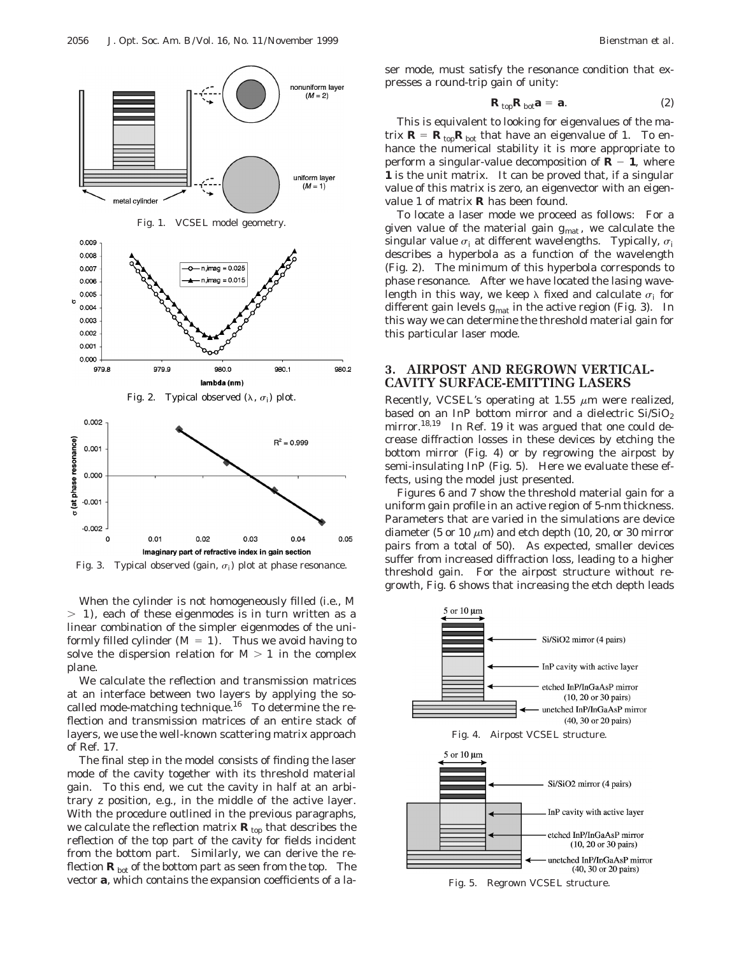

When the cylinder is not homogeneously filled (i.e., *M*  $>$  1), each of these eigenmodes is in turn written as a linear combination of the simpler eigenmodes of the uniformly filled cylinder  $(M = 1)$ . Thus we avoid having to solve the dispersion relation for  $M > 1$  in the complex plane.

We calculate the reflection and transmission matrices at an interface between two layers by applying the socalled mode-matching technique.<sup>16</sup> To determine the reflection and transmission matrices of an entire stack of layers, we use the well-known scattering matrix approach of Ref. 17.

The final step in the model consists of finding the laser mode of the cavity together with its threshold material gain. To this end, we cut the cavity in half at an arbitrary *z* position, e.g., in the middle of the active layer. With the procedure outlined in the previous paragraphs, we calculate the reflection matrix  $\mathbf{R}_{\text{top}}$  that describes the reflection of the top part of the cavity for fields incident from the bottom part. Similarly, we can derive the reflection  $\mathbf{R}_{\text{bot}}$  of the bottom part as seen from the top. The vector **a**, which contains the expansion coefficients of a laser mode, must satisfy the resonance condition that expresses a round-trip gain of unity:

$$
\mathbf{R}_{\text{top}}\mathbf{R}_{\text{bot}}\mathbf{a} = \mathbf{a}.\tag{2}
$$

This is equivalent to looking for eigenvalues of the matrix  $\mathbf{R} = \mathbf{R}_{\text{top}} \mathbf{R}_{\text{bot}}$  that have an eigenvalue of 1. To enhance the numerical stability it is more appropriate to perform a singular-value decomposition of  $\mathbf{R} - \mathbf{1}$ , where **1** is the unit matrix. It can be proved that, if a singular value of this matrix is zero, an eigenvector with an eigenvalue 1 of matrix **R** has been found.

To locate a laser mode we proceed as follows: For a given value of the material gain  $g_{\text{mat}}$ , we calculate the singular value  $\sigma_i$  at different wavelengths. Typically,  $\sigma_i$ describes a hyperbola as a function of the wavelength (Fig. 2). The minimum of this hyperbola corresponds to phase resonance. After we have located the lasing wavelength in this way, we keep  $\lambda$  fixed and calculate  $\sigma_i$  for different gain levels  $g_{\text{mat}}$  in the active region (Fig. 3). In this way we can determine the threshold material gain for this particular laser mode.

### **3. AIRPOST AND REGROWN VERTICAL-CAVITY SURFACE-EMITTING LASERS**

Recently, VCSEL's operating at 1.55  $\mu$ m were realized, based on an InP bottom mirror and a dielectric  $Si/SiO<sub>2</sub>$ mirror.<sup>18,19</sup> In Ref. 19 it was argued that one could decrease diffraction losses in these devices by etching the bottom mirror (Fig. 4) or by regrowing the airpost by semi-insulating InP (Fig. 5). Here we evaluate these effects, using the model just presented.

Figures 6 and 7 show the threshold material gain for a uniform gain profile in an active region of 5-nm thickness. Parameters that are varied in the simulations are device diameter (5 or 10  $\mu$ m) and etch depth (10, 20, or 30 mirror pairs from a total of 50). As expected, smaller devices suffer from increased diffraction loss, leading to a higher threshold gain. For the airpost structure without regrowth, Fig. 6 shows that increasing the etch depth leads



Fig. 5. Regrown VCSEL structure.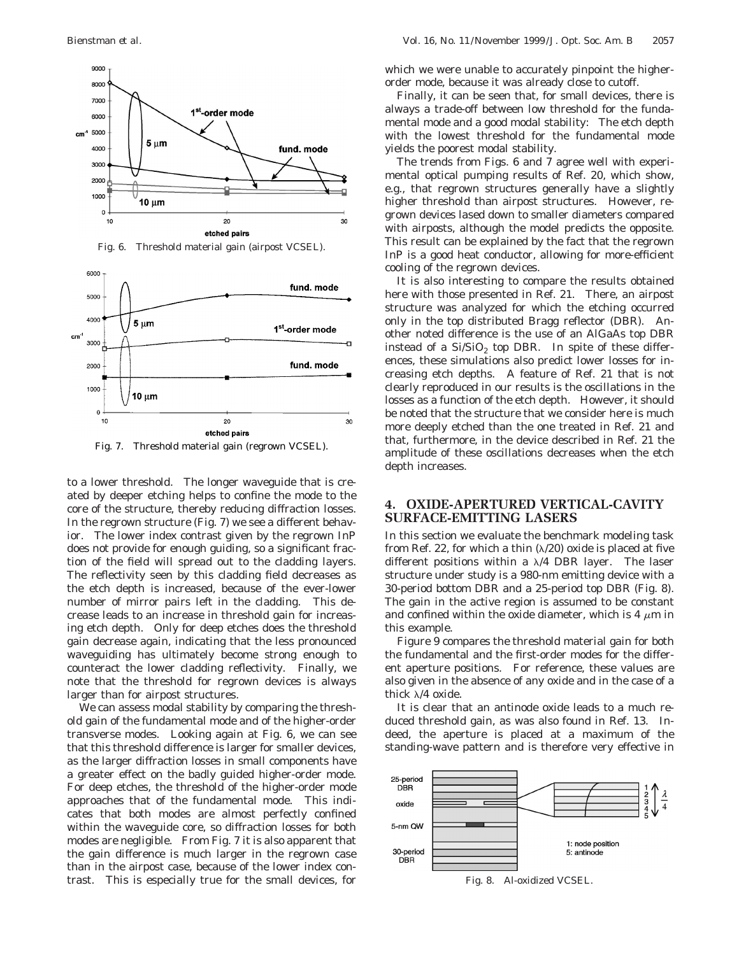



Fig. 7. Threshold material gain (regrown VCSEL).

to a lower threshold. The longer waveguide that is created by deeper etching helps to confine the mode to the core of the structure, thereby reducing diffraction losses. In the regrown structure (Fig. 7) we see a different behavior. The lower index contrast given by the regrown InP does not provide for enough guiding, so a significant fraction of the field will spread out to the cladding layers. The reflectivity seen by this cladding field decreases as the etch depth is increased, because of the ever-lower number of mirror pairs left in the cladding. This decrease leads to an increase in threshold gain for increasing etch depth. Only for deep etches does the threshold gain decrease again, indicating that the less pronounced waveguiding has ultimately become strong enough to counteract the lower cladding reflectivity. Finally, we note that the threshold for regrown devices is always larger than for airpost structures.

We can assess modal stability by comparing the threshold gain of the fundamental mode and of the higher-order transverse modes. Looking again at Fig. 6, we can see that this threshold difference is larger for smaller devices, as the larger diffraction losses in small components have a greater effect on the badly guided higher-order mode. For deep etches, the threshold of the higher-order mode approaches that of the fundamental mode. This indicates that both modes are almost perfectly confined within the waveguide core, so diffraction losses for both modes are negligible. From Fig. 7 it is also apparent that the gain difference is much larger in the regrown case than in the airpost case, because of the lower index contrast. This is especially true for the small devices, for

which we were unable to accurately pinpoint the higherorder mode, because it was already close to cutoff.

Finally, it can be seen that, for small devices, there is always a trade-off between low threshold for the fundamental mode and a good modal stability: The etch depth with the lowest threshold for the fundamental mode yields the poorest modal stability.

The trends from Figs. 6 and 7 agree well with experimental optical pumping results of Ref. 20, which show, e.g., that regrown structures generally have a slightly higher threshold than airpost structures. However, regrown devices lased down to smaller diameters compared with airposts, although the model predicts the opposite. This result can be explained by the fact that the regrown InP is a good heat conductor, allowing for more-efficient cooling of the regrown devices.

It is also interesting to compare the results obtained here with those presented in Ref. 21. There, an airpost structure was analyzed for which the etching occurred only in the top distributed Bragg reflector (DBR). Another noted difference is the use of an AlGaAs top DBR instead of a  $Si/SiO<sub>2</sub>$  top DBR. In spite of these differences, these simulations also predict lower losses for increasing etch depths. A feature of Ref. 21 that is not clearly reproduced in our results is the oscillations in the losses as a function of the etch depth. However, it should be noted that the structure that we consider here is much more deeply etched than the one treated in Ref. 21 and that, furthermore, in the device described in Ref. 21 the amplitude of these oscillations decreases when the etch depth increases.

## **4. OXIDE-APERTURED VERTICAL-CAVITY SURFACE-EMITTING LASERS**

In this section we evaluate the benchmark modeling task from Ref. 22, for which a thin  $(\lambda/20)$  oxide is placed at five different positions within a  $\lambda/4$  DBR layer. The laser structure under study is a 980-nm emitting device with a 30-period bottom DBR and a 25-period top DBR (Fig. 8). The gain in the active region is assumed to be constant and confined within the oxide diameter, which is 4  $\mu$ m in this example.

Figure 9 compares the threshold material gain for both the fundamental and the first-order modes for the different aperture positions. For reference, these values are also given in the absence of any oxide and in the case of a thick  $\lambda$ /4 oxide.

It is clear that an antinode oxide leads to a much reduced threshold gain, as was also found in Ref. 13. Indeed, the aperture is placed at a maximum of the standing-wave pattern and is therefore very effective in



Fig. 8. Al-oxidized VCSEL.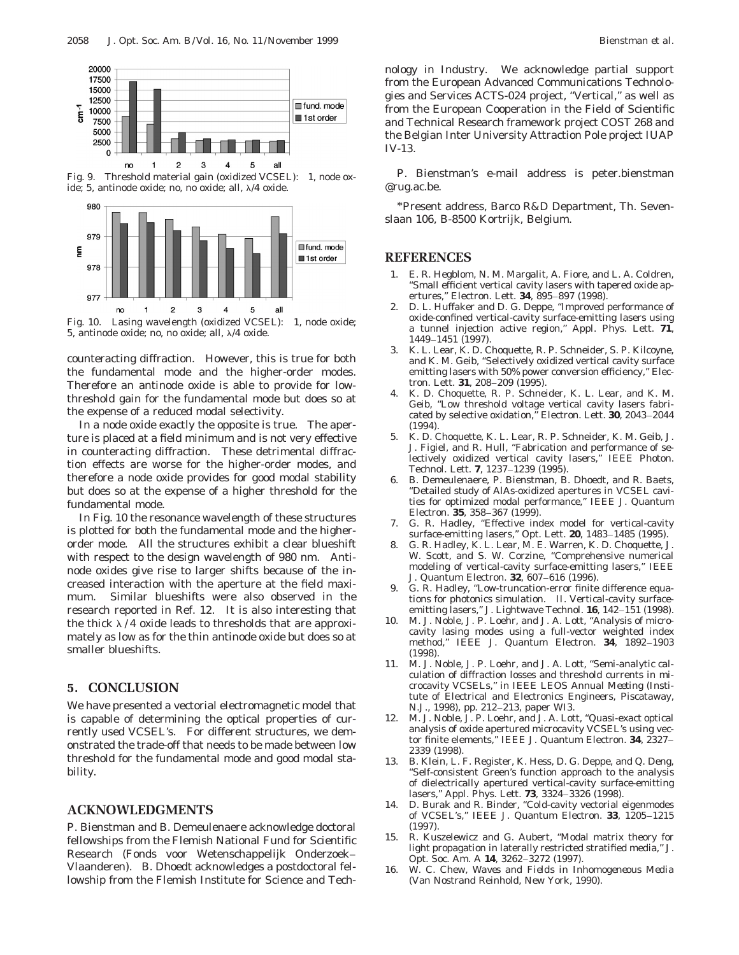

Fig. 9. Threshold material gain (oxidized VCSEL): 1, node oxide; 5, antinode oxide; no, no oxide; all,  $\lambda/4$  oxide.



Fig. 10. Lasing wavelength (oxidized VCSEL): 1, node oxide; 5, antinode oxide; no, no oxide; all,  $\lambda/4$  oxide.

counteracting diffraction. However, this is true for both the fundamental mode and the higher-order modes. Therefore an antinode oxide is able to provide for lowthreshold gain for the fundamental mode but does so at the expense of a reduced modal selectivity.

In a node oxide exactly the opposite is true. The aperture is placed at a field minimum and is not very effective in counteracting diffraction. These detrimental diffraction effects are worse for the higher-order modes, and therefore a node oxide provides for good modal stability but does so at the expense of a higher threshold for the fundamental mode.

In Fig. 10 the resonance wavelength of these structures is plotted for both the fundamental mode and the higherorder mode. All the structures exhibit a clear blueshift with respect to the design wavelength of 980 nm. Antinode oxides give rise to larger shifts because of the increased interaction with the aperture at the field maximum. Similar blueshifts were also observed in the research reported in Ref. 12. It is also interesting that the thick  $\lambda$  / 4 oxide leads to thresholds that are approximately as low as for the thin antinode oxide but does so at smaller blueshifts.

### **5. CONCLUSION**

We have presented a vectorial electromagnetic model that is capable of determining the optical properties of currently used VCSEL's. For different structures, we demonstrated the trade-off that needs to be made between low threshold for the fundamental mode and good modal stability.

### **ACKNOWLEDGMENTS**

P. Bienstman and B. Demeulenaere acknowledge doctoral fellowships from the Flemish National Fund for Scientific Research (Fonds voor Wetenschappelijk Onderzoek– Vlaanderen). B. Dhoedt acknowledges a postdoctoral fellowship from the Flemish Institute for Science and Technology in Industry. We acknowledge partial support from the European Advanced Communications Technologies and Services ACTS-024 project, ''Vertical,'' as well as from the European Cooperation in the Field of Scientific and Technical Research framework project COST 268 and the Belgian Inter University Attraction Pole project IUAP IV-13.

P. Bienstman's e-mail address is peter.bienstman @rug.ac.be.

\*Present address, Barco R&D Department, Th. Sevenslaan 106, B-8500 Kortrijk, Belgium.

### **REFERENCES**

- 1. E. R. Hegblom, N. M. Margalit, A. Fiore, and L. A. Coldren, ''Small efficient vertical cavity lasers with tapered oxide apertures,'' Electron. Lett. **34**, 895–897 (1998).
- 2. D. L. Huffaker and D. G. Deppe, ''Improved performance of oxide-confined vertical-cavity surface-emitting lasers using a tunnel injection active region,'' Appl. Phys. Lett. **71**, 1449–1451 (1997).
- 3. K. L. Lear, K. D. Choquette, R. P. Schneider, S. P. Kilcoyne, and K. M. Geib, ''Selectively oxidized vertical cavity surface emitting lasers with 50% power conversion efficiency,'' Electron. Lett. **31**, 208–209 (1995).
- 4. K. D. Choquette, R. P. Schneider, K. L. Lear, and K. M. Geib, ''Low threshold voltage vertical cavity lasers fabricated by selective oxidation,'' Electron. Lett. **30**, 2043–2044 (1994).
- 5. K. D. Choquette, K. L. Lear, R. P. Schneider, K. M. Geib, J. J. Figiel, and R. Hull, ''Fabrication and performance of selectively oxidized vertical cavity lasers,'' IEEE Photon. Technol. Lett. **7**, 1237–1239 (1995).
- 6. B. Demeulenaere, P. Bienstman, B. Dhoedt, and R. Baets, ''Detailed study of AlAs-oxidized apertures in VCSEL cavities for optimized modal performance,'' IEEE J. Quantum Electron. **35**, 358–367 (1999).
- 7. G. R. Hadley, "Effective index model for vertical-cavity surface-emitting lasers,'' Opt. Lett. **20**, 1483–1485 (1995).
- 8. G. R. Hadley, K. L. Lear, M. E. Warren, K. D. Choquette, J. W. Scott, and S. W. Corzine, "Comprehensive numerical modeling of vertical-cavity surface-emitting lasers,'' IEEE J. Quantum Electron. **32**, 607–616 (1996).
- 9. G. R. Hadley, ''Low-truncation-error finite difference equations for photonics simulation. II. Vertical-cavity surfaceemitting lasers,'' J. Lightwave Technol. **16**, 142–151 (1998).
- 10. M. J. Noble, J. P. Loehr, and J. A. Lott, ''Analysis of microcavity lasing modes using a full-vector weighted index method,'' IEEE J. Quantum Electron. **34**, 1892–1903 (1998).
- 11. M. J. Noble, J. P. Loehr, and J. A. Lott, ''Semi-analytic calculation of diffraction losses and threshold currents in microcavity VCSELs,'' in *IEEE LEOS Annual Meeting* (Institute of Electrical and Electronics Engineers, Piscataway, N.J., 1998), pp. 212–213, paper WI3.
- 12. M. J. Noble, J. P. Loehr, and J. A. Lott, ''Quasi-exact optical analysis of oxide apertured microcavity VCSEL's using vector finite elements,'' IEEE J. Quantum Electron. **34**, 2327– 2339 (1998).
- 13. B. Klein, L. F. Register, K. Hess, D. G. Deppe, and Q. Deng, ''Self-consistent Green's function approach to the analysis of dielectrically apertured vertical-cavity surface-emitting lasers,'' Appl. Phys. Lett. **73**, 3324–3326 (1998).
- 14. D. Burak and R. Binder, ''Cold-cavity vectorial eigenmodes of VCSEL's,'' IEEE J. Quantum Electron. **33**, 1205–1215 (1997).
- 15. R. Kuszelewicz and G. Aubert, ''Modal matrix theory for light propagation in laterally restricted stratified media,'' J. Opt. Soc. Am. A **14**, 3262–3272 (1997).
- 16. W. C. Chew, *Waves and Fields in Inhomogeneous Media* (Van Nostrand Reinhold, New York, 1990).